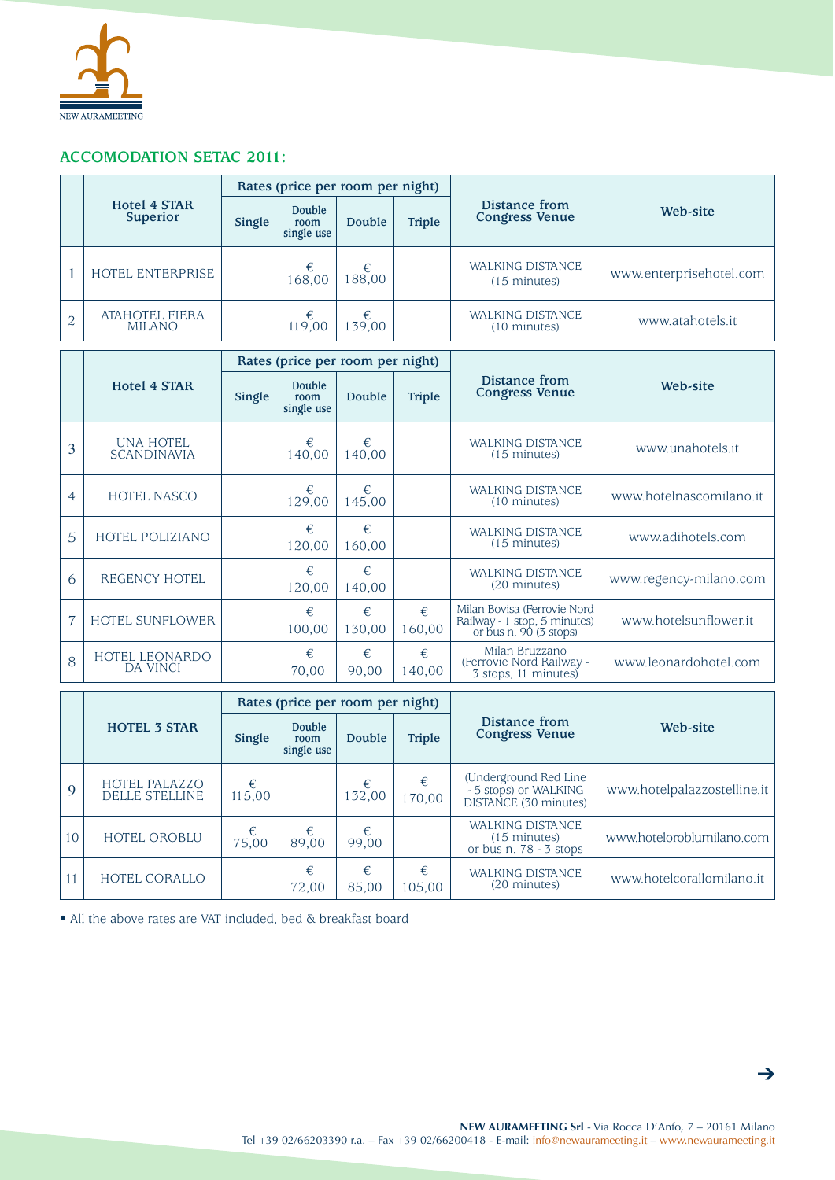

## **ACCOMODATION SETAC 2011:**

|  | <b>Hotel 4 STAR</b><br><b>Superior</b> | Rates (price per room per night) |                              |            |               |                                                   |                         |
|--|----------------------------------------|----------------------------------|------------------------------|------------|---------------|---------------------------------------------------|-------------------------|
|  |                                        | Single                           | Double<br>room<br>single use | Double     | <b>Triple</b> | Distance from<br><b>Congress Venue</b>            | Web-site                |
|  | HOTEL ENTERPRISE                       |                                  | €<br>168,00                  | €<br>88.00 |               | <b>WALKING DISTANCE</b><br>$(15 \text{ minutes})$ | www.enterprisehotel.com |
|  | <b>ATAHOTEL FIERA</b><br><b>MILANO</b> |                                  | €<br>119,00                  | €<br>39.00 |               | <b>WALKING DISTANCE</b><br>(10 minutes)           | www.atahotels.it        |

|   | <b>Hotel 4 STAR</b>                      | Rates (price per room per night) |                              |             |               |                                                                                        |                         |
|---|------------------------------------------|----------------------------------|------------------------------|-------------|---------------|----------------------------------------------------------------------------------------|-------------------------|
|   |                                          | Single                           | Double<br>room<br>single use | Double      | <b>Triple</b> | Distance from<br><b>Congress Venue</b>                                                 | Web-site                |
| 3 | <b>UNA HOTEL</b><br><b>SCANDINAVIA</b>   |                                  | €<br>140.00                  | €<br>140,00 |               | <b>WALKING DISTANCE</b><br>$(15 \text{ minutes})$                                      | www.unahotels.it        |
| 4 | <b>HOTEL NASCO</b>                       |                                  | €<br>129,00                  | €<br>145,00 |               | <b>WALKING DISTANCE</b><br>$(10 \text{ minutes})$                                      | www.hotelnascomilano.it |
| 5 | <b>HOTEL POLIZIANO</b>                   |                                  | €<br>120,00                  | €<br>160,00 |               | <b>WALKING DISTANCE</b><br>$(15 \text{ minutes})$                                      | www.adihotels.com       |
| 6 | <b>REGENCY HOTEL</b>                     |                                  | €<br>120,00                  | €<br>140,00 |               | <b>WALKING DISTANCE</b><br>(20 minutes)                                                | www.regency-milano.com  |
| 7 | <b>HOTEL SUNFLOWER</b>                   |                                  | €<br>100,00                  | €<br>130,00 | €<br>160.00   | Milan Bovisa (Ferrovie Nord<br>Railway - 1 stop, 5 minutes)<br>or bus n. $90(3$ stops) | www.hotelsunflower.it   |
| 8 | <b>HOTEL LEONARDO</b><br><b>DA VINCI</b> |                                  | $\epsilon$<br>70,00          | €<br>90,00  | €<br>140,00   | Milan Bruzzano<br>(Ferrovie Nord Railway -<br>3 stops, 11 minutes)                     | www.leonardohotel.com   |

|    | <b>HOTEL 3 STAR</b>                    | Rates (price per room per night) |                              |             |               |                                                                               |                             |
|----|----------------------------------------|----------------------------------|------------------------------|-------------|---------------|-------------------------------------------------------------------------------|-----------------------------|
|    |                                        | Single                           | Double<br>room<br>single use | Double      | <b>Triple</b> | Distance from<br><b>Congress Venue</b>                                        | Web-site                    |
| 9  | HOTEL PALAZZO<br><b>DELLE STELLINE</b> | €<br>115,00                      |                              | €<br>132,00 | €<br>170,00   | (Underground Red Line)<br>- 5 stops) or WALKING<br>DISTANCE (30 minutes)      | www.hotelpalazzostelline.it |
| 10 | HOTEL OROBLU                           | €<br>75,00                       | €<br>89.00                   | €<br>99.00  |               | <b>WALKING DISTANCE</b><br>$(15 \text{ minutes})$<br>or bus n. $78 - 3$ stops | www.hoteloroblumilano.com   |
|    | <b>HOTEL CORALLO</b>                   |                                  | €<br>72,00                   | €<br>85,00  | €<br>105,00   | <b>WALKING DISTANCE</b><br>(20 minutes)                                       | www.hotelcorallomilano.it   |

• All the above rates are VAT included, bed & breakfast board

➔